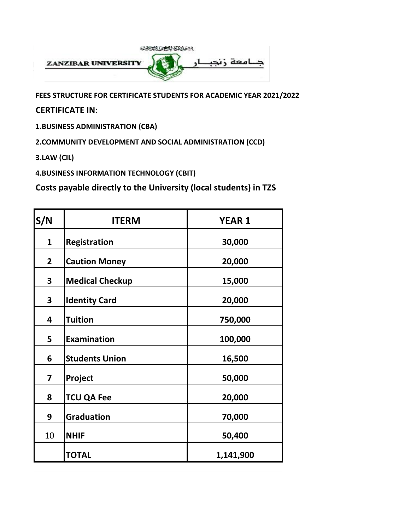

**FEES STRUCTURE FOR CERTIFICATE STUDENTS FOR ACADEMIC YEAR 2021/2022**

**CERTIFICATE IN:**

**1.BUSINESS ADMINISTRATION (CBA)**

**2.COMMUNITY DEVELOPMENT AND SOCIAL ADMINISTRATION (CCD)**

**3.LAW (CIL)**

**4.BUSINESS INFORMATION TECHNOLOGY (CBIT)**

| S/N            | <b>ITERM</b>           | <b>YEAR 1</b> |
|----------------|------------------------|---------------|
| $\mathbf{1}$   | Registration           | 30,000        |
| $\overline{2}$ | <b>Caution Money</b>   | 20,000        |
| 3              | <b>Medical Checkup</b> | 15,000        |
| 3              | <b>Identity Card</b>   | 20,000        |
| 4              | <b>Tuition</b>         | 750,000       |
| 5              | <b>Examination</b>     | 100,000       |
| 6              | <b>Students Union</b>  | 16,500        |
| 7              | Project                | 50,000        |
| 8              | <b>TCU QA Fee</b>      | 20,000        |
| 9              | <b>Graduation</b>      | 70,000        |
| 10             | <b>NHIF</b>            | 50,400        |
|                | <b>TOTAL</b>           | 1,141,900     |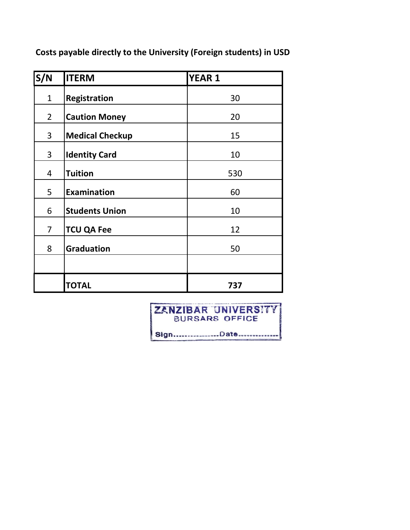**Costs payable directly to the University (Foreign students) in USD**

| S/N            | <b>ITERM</b>           | <b>YEAR 1</b> |
|----------------|------------------------|---------------|
| $\mathbf{1}$   | <b>Registration</b>    | 30            |
| $\overline{2}$ | <b>Caution Money</b>   | 20            |
| 3              | <b>Medical Checkup</b> | 15            |
| 3              | <b>Identity Card</b>   | 10            |
| 4              | <b>Tuition</b>         | 530           |
| 5              | <b>Examination</b>     | 60            |
| 6              | <b>Students Union</b>  | 10            |
| $\overline{7}$ | <b>TCU QA Fee</b>      | 12            |
| 8              | <b>Graduation</b>      | 50            |
|                |                        |               |
|                | <b>TOTAL</b>           | 737           |

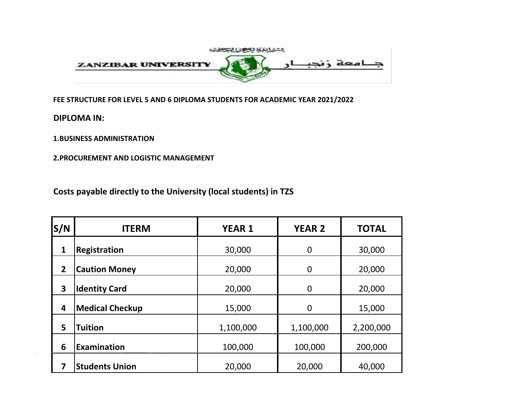

**FEE STRUCTURE FOR LEVEL 5 AND 6 DIPLOMA STUDENTS FOR ACADEMIC YEAR 2021/2022**

**DIPLOMA IN:**

**1.BUSINESS ADMINISTRATION**

**2.PROCUREMENT AND LOGISTIC MANAGEMENT**

| S/N            | <b>ITERM</b>           | <b>YEAR 1</b>    | <b>YEAR 2</b>  | <b>TOTAL</b> |  |
|----------------|------------------------|------------------|----------------|--------------|--|
| 1              | Registration           | 30,000           | $\overline{0}$ | 30,000       |  |
| $\overline{2}$ | <b>Caution Money</b>   | 20,000           | $\overline{0}$ | 20,000       |  |
| 3              | <b>Identity Card</b>   | 20,000           | $\overline{0}$ | 20,000       |  |
| 4              | <b>Medical Checkup</b> | 15,000           | $\overline{0}$ | 15,000       |  |
| 5              | <b>Tuition</b>         | 1,100,000        | 1,100,000      | 2,200,000    |  |
| 6              | Examination            | 100,000          | 100,000        | 200,000      |  |
|                | <b>Students Union</b>  | 20,000<br>20,000 |                | 40,000       |  |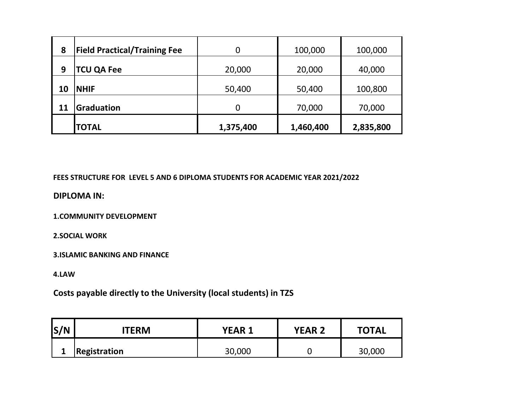| 8  | <b>Field Practical/Training Fee</b> |           | 100,000   | 100,000   |
|----|-------------------------------------|-----------|-----------|-----------|
| 9  | <b>TCU QA Fee</b>                   | 20,000    | 20,000    | 40,000    |
| 10 | <b>NHIF</b>                         | 50,400    | 50,400    | 100,800   |
| 11 | Graduation                          |           | 70,000    | 70,000    |
|    | <b>TOTAL</b>                        | 1,375,400 | 1,460,400 | 2,835,800 |

**FEES STRUCTURE FOR LEVEL 5 AND 6 DIPLOMA STUDENTS FOR ACADEMIC YEAR 2021/2022**

**DIPLOMA IN:**

**1.COMMUNITY DEVELOPMENT**

**2.SOCIAL WORK**

**3.ISLAMIC BANKING AND FINANCE**

**4.LAW**

| S/N | <b>ITERM</b> | <b>YEAR 1</b> | <b>YEAR 2</b> | <b>TOTAL</b> |  |
|-----|--------------|---------------|---------------|--------------|--|
|     | Registration | 30,000        |               | 30,000       |  |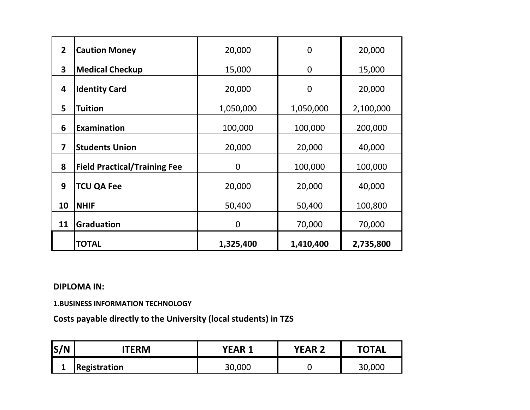| $\overline{2}$          | <b>Caution Money</b>                | 20,000      | $\overline{0}$ | 20,000    |
|-------------------------|-------------------------------------|-------------|----------------|-----------|
| 3                       | <b>Medical Checkup</b>              | 15,000      | $\overline{0}$ | 15,000    |
| 4                       | <b>Identity Card</b>                | 20,000      | $\overline{0}$ | 20,000    |
| 5                       | <b>Tuition</b>                      | 1,050,000   | 1,050,000      | 2,100,000 |
| 6                       | <b>Examination</b>                  | 100,000     | 100,000        | 200,000   |
| $\overline{\mathbf{z}}$ | <b>Students Union</b>               | 20,000      | 20,000         | 40,000    |
| 8                       | <b>Field Practical/Training Fee</b> | 0           | 100,000        | 100,000   |
| 9                       | <b>TCU QA Fee</b>                   | 20,000      | 20,000         | 40,000    |
| 10                      | <b>NHIF</b>                         | 50,400      | 50,400         | 100,800   |
| 11                      | <b>Graduation</b>                   | $\mathbf 0$ | 70,000         | 70,000    |
|                         | <b>TOTAL</b>                        | 1,325,400   | 1,410,400      | 2,735,800 |

## **DIPLOMA IN:**

**1.BUSINESS INFORMATION TECHNOLOGY**

| S/N | <b>TERM</b>         | YEAR   | <b>YEAR 2</b> | <b>TOTAL</b> |
|-----|---------------------|--------|---------------|--------------|
|     | <b>Registration</b> | 30,000 |               | 30,000       |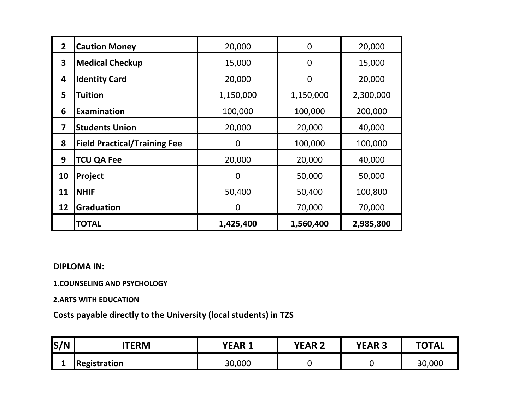| $\overline{2}$ | <b>Caution Money</b>                | 20,000         | 0         | 20,000    |
|----------------|-------------------------------------|----------------|-----------|-----------|
| 3              | <b>Medical Checkup</b>              | 15,000         | 0         | 15,000    |
| 4              | <b>Identity Card</b>                | 20,000         | 0         | 20,000    |
| 5              | Tuition                             | 1,150,000      | 1,150,000 | 2,300,000 |
| 6              | <b>Examination</b>                  | 100,000        | 100,000   | 200,000   |
| 7              | <b>Students Union</b>               | 20,000         | 20,000    | 40,000    |
| 8              | <b>Field Practical/Training Fee</b> | $\overline{0}$ | 100,000   | 100,000   |
| 9              | <b>TCU QA Fee</b>                   | 20,000         | 20,000    | 40,000    |
| 10             | Project                             | 0              | 50,000    | 50,000    |
| 11             | <b>NHIF</b>                         | 50,400         | 50,400    | 100,800   |
| 12             | <b>Graduation</b>                   | $\overline{0}$ | 70,000    | 70,000    |
|                | <b>TOTAL</b>                        | 1,425,400      | 1,560,400 | 2,985,800 |

### **DIPLOMA IN:**

#### **1.COUNSELING AND PSYCHOLOGY**

#### **2.ARTS WITH EDUCATION**

| S/N | TERM                | <b>YEAR 1</b> | <b>YEAR 2</b> | <b>YEAR</b><br>س | <b>TOTAL</b> |
|-----|---------------------|---------------|---------------|------------------|--------------|
| -   | <b>Registration</b> | 30,000        |               |                  | 30,000       |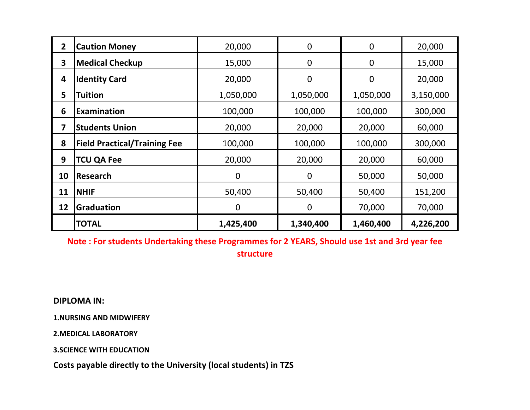| $\overline{2}$ | <b>Caution Money</b>                | 20,000      | $\mathbf 0$ | $\overline{0}$ | 20,000    |
|----------------|-------------------------------------|-------------|-------------|----------------|-----------|
| 3              | <b>Medical Checkup</b>              | 15,000      | $\mathbf 0$ | $\mathbf 0$    | 15,000    |
| 4              | <b>Identity Card</b>                | 20,000      | $\mathbf 0$ | $\mathbf 0$    | 20,000    |
| 5              | <b>Tuition</b>                      | 1,050,000   | 1,050,000   | 1,050,000      | 3,150,000 |
| 6              | <b>Examination</b>                  | 100,000     | 100,000     | 100,000        | 300,000   |
| 7              | <b>Students Union</b>               | 20,000      | 20,000      | 20,000         | 60,000    |
| 8              | <b>Field Practical/Training Fee</b> | 100,000     | 100,000     | 100,000        | 300,000   |
| 9              | <b>TCU QA Fee</b>                   | 20,000      | 20,000      | 20,000         | 60,000    |
| 10             | <b>Research</b>                     | $\mathbf 0$ | $\mathbf 0$ | 50,000         | 50,000    |
| 11             | <b>NHIF</b>                         | 50,400      | 50,400      | 50,400         | 151,200   |
| 12             | Graduation                          | $\mathbf 0$ | 0           | 70,000         | 70,000    |
|                | <b>TOTAL</b>                        | 1,425,400   | 1,340,400   | 1,460,400      | 4,226,200 |

**Note : For students Undertaking these Programmes for 2 YEARS, Should use 1st and 3rd year fee structure**

**DIPLOMA IN:**

**1.NURSING AND MIDWIFERY**

**2.MEDICAL LABORATORY**

**3.SCIENCE WITH EDUCATION**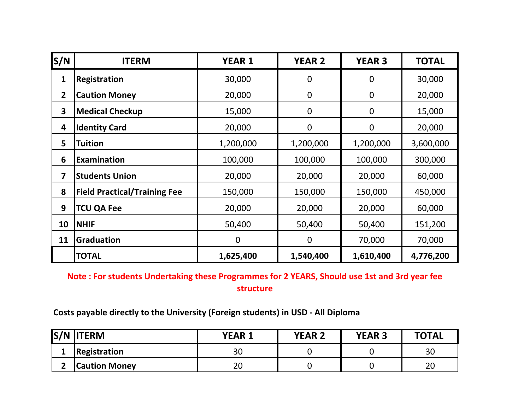| S/N            | <b>ITERM</b>                        | <b>YEAR 1</b> | <b>YEAR 2</b>    | <b>YEAR 3</b>  | <b>TOTAL</b> |
|----------------|-------------------------------------|---------------|------------------|----------------|--------------|
| 1              | <b>Registration</b>                 | 30,000        | $\mathbf 0$      | $\overline{0}$ | 30,000       |
| $\overline{2}$ | <b>Caution Money</b>                | 20,000        | $\mathbf 0$      | $\mathbf 0$    | 20,000       |
| 3              | <b>Medical Checkup</b>              | 15,000        | $\boldsymbol{0}$ | $\mathbf 0$    | 15,000       |
| 4              | <b>Identity Card</b>                | 20,000        | $\mathbf 0$      | $\mathbf 0$    | 20,000       |
| 5              | <b>Tuition</b>                      | 1,200,000     | 1,200,000        | 1,200,000      | 3,600,000    |
| 6              | Examination                         | 100,000       | 100,000          | 100,000        | 300,000      |
| 7              | <b>Students Union</b>               | 20,000        | 20,000           | 20,000         | 60,000       |
| 8              | <b>Field Practical/Training Fee</b> | 150,000       | 150,000          | 150,000        | 450,000      |
| 9              | <b>TCU QA Fee</b>                   | 20,000        | 20,000           | 20,000         | 60,000       |
| 10             | <b>NHIF</b>                         | 50,400        | 50,400           | 50,400         | 151,200      |
| 11             | Graduation                          | $\mathbf 0$   | $\boldsymbol{0}$ | 70,000         | 70,000       |
|                | <b>TOTAL</b>                        | 1,625,400     | 1,540,400        | 1,610,400      | 4,776,200    |

**Note : For students Undertaking these Programmes for 2 YEARS, Should use 1st and 3rd year fee structure**

**Costs payable directly to the University (Foreign students) in USD - All Diploma**

|    | <b>S/N ITERM</b>     | <b>YEAR 1</b> | <b>YEAR 2</b> | <b>YEAR 3</b> | <b>TOTAL</b> |
|----|----------------------|---------------|---------------|---------------|--------------|
| -- | Registration         | 30            |               |               | 30           |
|    | <b>Caution Money</b> | 20            |               |               | 20           |